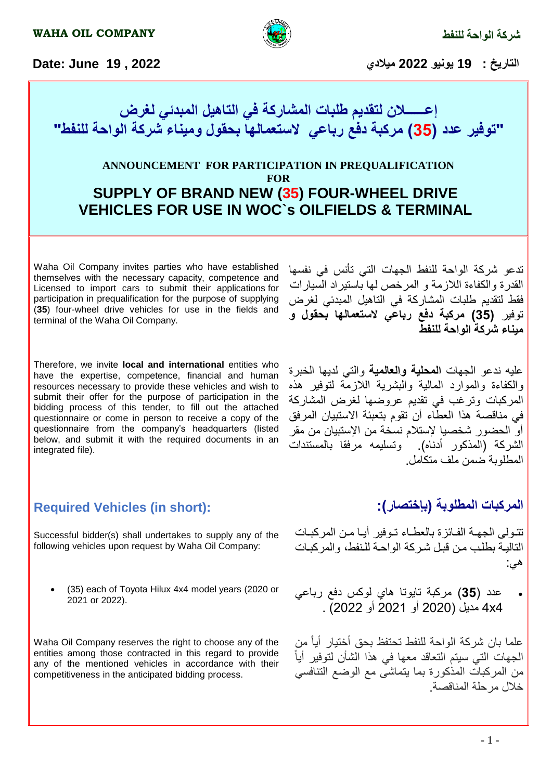



### **Required Vehicles (in short):**

integrated file).

Successful bidder(s) shall undertakes to supply any of the following vehicles upon request by Waha Oil Company:

 (35) each of Toyota Hilux 4x4 model years (2020 or 2021 or 2022).

Waha Oil Company reserves the right to choose any of the entities among those contracted in this regard to provide any of the mentioned vehicles in accordance with their competitiveness in the anticipated bidding process.

**المركبات المطلوبة )بإختصار(:**

المطلوبة ضمن ملف متكامل.

تتولى الجهة الفائزة بالعطاء توفير أيا من المركبات التالية بطلب من قبل شركة الواحية للنفط، والمركبات هي:

 عدد )**35**( مركبة تايوتا هاي لوكس دفع رباعي 4x4 مديل )2020 أو 2021 أو 2022( .

علما بان شركة الواحة للنفط تحتفظ بحق أختيار أيا من ا الجهات التي سيتم التعاقد معها في هذا الشأن لتوفير أي من المركبات المذكورة بما يتماشى مع الوضع التنافسي خالل مرحلة المناقصة.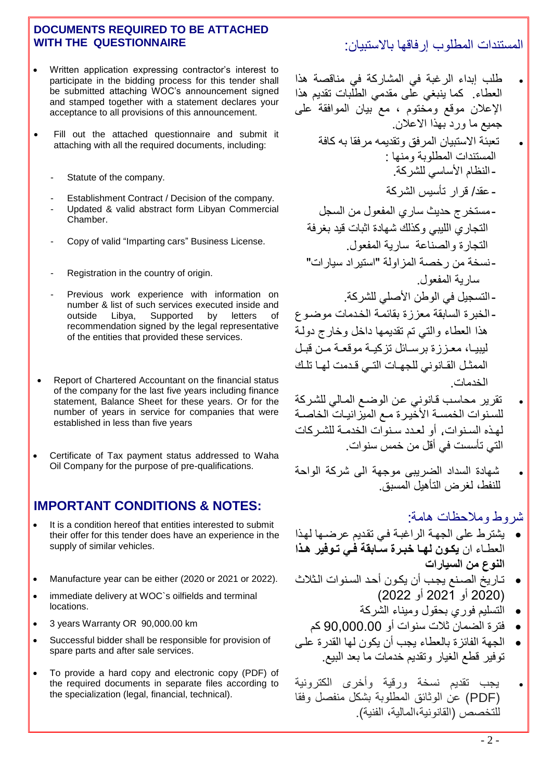#### **DOCUMENTS REQUIRED TO BE ATTACHED WITH THE QUESTIONNAIRE**

- Written application expressing contractor's interest to participate in the bidding process for this tender shall be submitted attaching WOC's announcement signed and stamped together with a statement declares your acceptance to all provisions of this announcement.
- Fill out the attached questionnaire and submit it attaching with all the required documents, including:
	- Statute of the company.
	- Establishment Contract / Decision of the company.
	- Updated & valid abstract form Libyan Commercial Chamber.
	- Copy of valid "Imparting cars" Business License.
	- Registration in the country of origin.
	- Previous work experience with information on number & list of such services executed inside and outside Libya, Supported by letters of recommendation signed by the legal representative of the entities that provided these services.
- Report of Chartered Accountant on the financial status of the company for the last five years including finance statement, Balance Sheet for these years. Or for the number of years in service for companies that were established in less than five years
- Certificate of Tax payment status addressed to Waha Oil Company for the purpose of pre-qualifications.

### **IMPORTANT CONDITIONS & NOTES:**

- It is a condition hereof that entities interested to submit their offer for this tender does have an experience in the supply of similar vehicles.
- Manufacture year can be either (2020 or 2021 or 2022).
- immediate delivery at WOC`s oilfields and terminal locations.
- 3 years Warranty OR 90,000.00 km
- Successful bidder shall be responsible for provision of spare parts and after sale services.
- To provide a hard copy and electronic copy (PDF) of the required documents in separate files according to the specialization (legal, financial, technical).

# المستندات المطلوب إرفاقها باالستبيان:

- طلب إبداء الرغبة في المشاركة في مناقصة هذا العطاء. كما ينبغي عل مقدمي الطلبات تقديم هذا اإلعالن موقع ومختوم ، مع بيان الموافقة عل جميع ما ورد بهذا الاعلان. تعبئة االستبيان المرفق وتقديمه مرفقا به كافة المستندات المطلوبة ومنها : -النظام األساسي للشركة. - عقد/ قرار تأسيس الشركة -مستخرج حديث ساري المفعول من السجل التجاري الليبي وكذلك شهادة اثبات قيد بغرفة التجارة والصناعة سارية المفعول. -نسخة من رخصة المزاولة "استيراد سيارات" سارية المفعول. - التسجيل في الوطن الأصلي للشركة. -الخبرة السابقة معززة بقائموة الخودمات موضوو هذا العطاء والتي تم تقديمها داخل وخارج دولوة ليبيا، معززة برسائل تزكية موقعة من قبل الممثل القانوني للجهات التبي قدمت لها تلك الخدمات.
- تقرير محاسب قانوني عن الوضع المالي للشركة للسنوات الخمسة الأخيرة مع الميزاانيات الخاصية لهذه السنوات، أو لعدد سنوات الخدمية للشير كات التي تأسست في أقل من خمس سنوات.
- شهادة السداد الضريب موجهة ال شركة الواحة للنفط، لغرض التأهيل المسبق.

# شروط ومالحظات هامة:

- يشترط عل الجهوة الراغبوة فوي تقوديم عرضوها لهوذا العطــاء ان **يكـون لـهــا خبـرة ســابقة فــى تـوفير هـذا** النوع من السيارات
- تواريا الصونع يجوب أن يكوون أحود السونوات الوثالث )2020 أو 2021 أو 2022(
	- التسليم فوري بحقول وميناء الشركة
	- فترة الضمان ثالت سنوات أو 90,000.00 كم
- الجهة الفائزة بالعطاء يجب أن يكون لها القدرة علو توفير قطع الغيار وتقديم خدمات ما بعد البيع.
- يجب تقديم نسخة ورقية وأخرى الكترونية )PDF )عن الوثائق المطلوبة بشكل منفصل وفقا للتخصص (القانونية،المالية، الفنية)